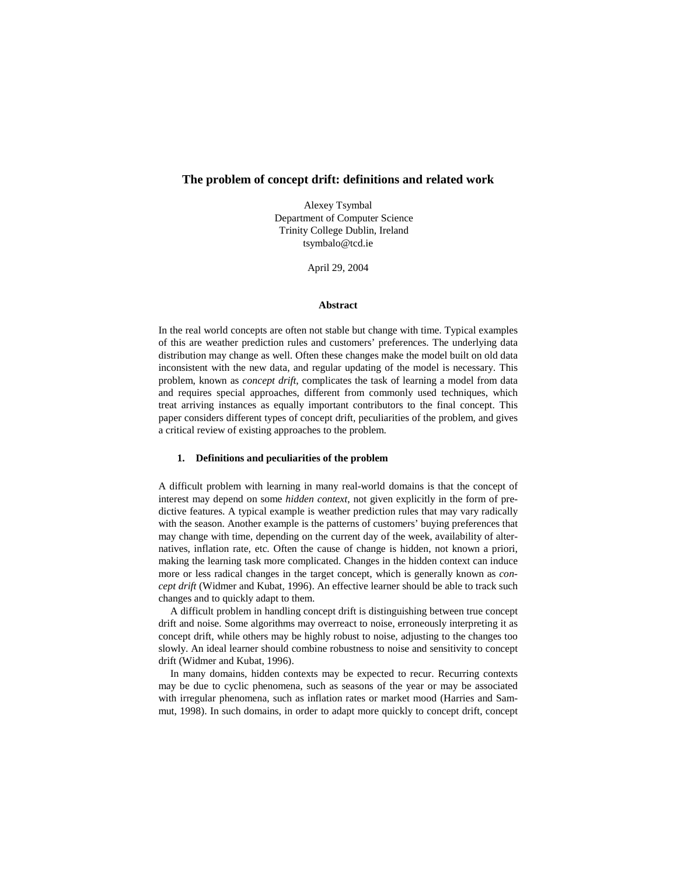# **The problem of concept drift: definitions and related work**

Alexey Tsymbal Department of Computer Science Trinity College Dublin, Ireland tsymbalo@tcd.ie

April 29, 2004

## **Abstract**

In the real world concepts are often not stable but change with time. Typical examples of this are weather prediction rules and customers' preferences. The underlying data distribution may change as well. Often these changes make the model built on old data inconsistent with the new data, and regular updating of the model is necessary. This problem, known as *concept drift*, complicates the task of learning a model from data and requires special approaches, different from commonly used techniques, which treat arriving instances as equally important contributors to the final concept. This paper considers different types of concept drift, peculiarities of the problem, and gives a critical review of existing approaches to the problem.

# **1. Definitions and peculiarities of the problem**

A difficult problem with learning in many real-world domains is that the concept of interest may depend on some *hidden context*, not given explicitly in the form of predictive features. A typical example is weather prediction rules that may vary radically with the season. Another example is the patterns of customers' buying preferences that may change with time, depending on the current day of the week, availability of alternatives, inflation rate, etc. Often the cause of change is hidden, not known a priori, making the learning task more complicated. Changes in the hidden context can induce more or less radical changes in the target concept, which is generally known as *concept drift* (Widmer and Kubat, 1996). An effective learner should be able to track such changes and to quickly adapt to them.

A difficult problem in handling concept drift is distinguishing between true concept drift and noise. Some algorithms may overreact to noise, erroneously interpreting it as concept drift, while others may be highly robust to noise, adjusting to the changes too slowly. An ideal learner should combine robustness to noise and sensitivity to concept drift (Widmer and Kubat, 1996).

In many domains, hidden contexts may be expected to recur. Recurring contexts may be due to cyclic phenomena, such as seasons of the year or may be associated with irregular phenomena, such as inflation rates or market mood (Harries and Sammut, 1998). In such domains, in order to adapt more quickly to concept drift, concept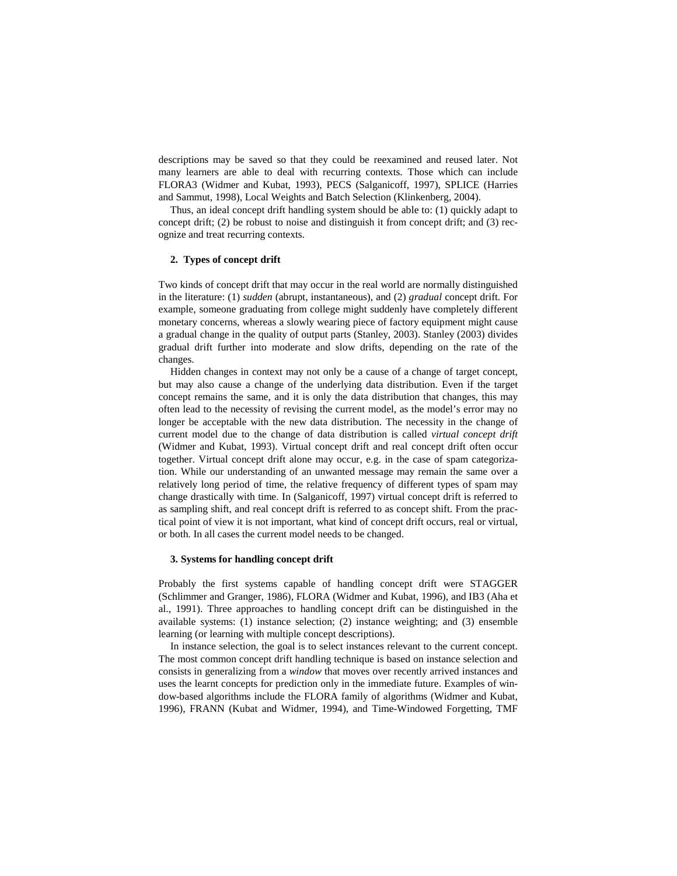descriptions may be saved so that they could be reexamined and reused later. Not many learners are able to deal with recurring contexts. Those which can include FLORA3 (Widmer and Kubat, 1993), PECS (Salganicoff, 1997), SPLICE (Harries and Sammut, 1998), Local Weights and Batch Selection (Klinkenberg, 2004).

Thus, an ideal concept drift handling system should be able to: (1) quickly adapt to concept drift; (2) be robust to noise and distinguish it from concept drift; and (3) recognize and treat recurring contexts.

#### **2. Types of concept drift**

Two kinds of concept drift that may occur in the real world are normally distinguished in the literature: (1) *sudden* (abrupt, instantaneous), and (2) *gradual* concept drift. For example, someone graduating from college might suddenly have completely different monetary concerns, whereas a slowly wearing piece of factory equipment might cause a gradual change in the quality of output parts (Stanley, 2003). Stanley (2003) divides gradual drift further into moderate and slow drifts, depending on the rate of the changes.

Hidden changes in context may not only be a cause of a change of target concept, but may also cause a change of the underlying data distribution. Even if the target concept remains the same, and it is only the data distribution that changes, this may often lead to the necessity of revising the current model, as the model's error may no longer be acceptable with the new data distribution. The necessity in the change of current model due to the change of data distribution is called *virtual concept drift* (Widmer and Kubat, 1993). Virtual concept drift and real concept drift often occur together. Virtual concept drift alone may occur, e.g. in the case of spam categorization. While our understanding of an unwanted message may remain the same over a relatively long period of time, the relative frequency of different types of spam may change drastically with time. In (Salganicoff, 1997) virtual concept drift is referred to as sampling shift, and real concept drift is referred to as concept shift. From the practical point of view it is not important, what kind of concept drift occurs, real or virtual, or both. In all cases the current model needs to be changed.

### **3. Systems for handling concept drift**

Probably the first systems capable of handling concept drift were STAGGER (Schlimmer and Granger, 1986), FLORA (Widmer and Kubat, 1996), and IB3 (Aha et al., 1991). Three approaches to handling concept drift can be distinguished in the available systems: (1) instance selection; (2) instance weighting; and (3) ensemble learning (or learning with multiple concept descriptions).

In instance selection, the goal is to select instances relevant to the current concept. The most common concept drift handling technique is based on instance selection and consists in generalizing from a *window* that moves over recently arrived instances and uses the learnt concepts for prediction only in the immediate future. Examples of window-based algorithms include the FLORA family of algorithms (Widmer and Kubat, 1996), FRANN (Kubat and Widmer, 1994), and Time-Windowed Forgetting, TMF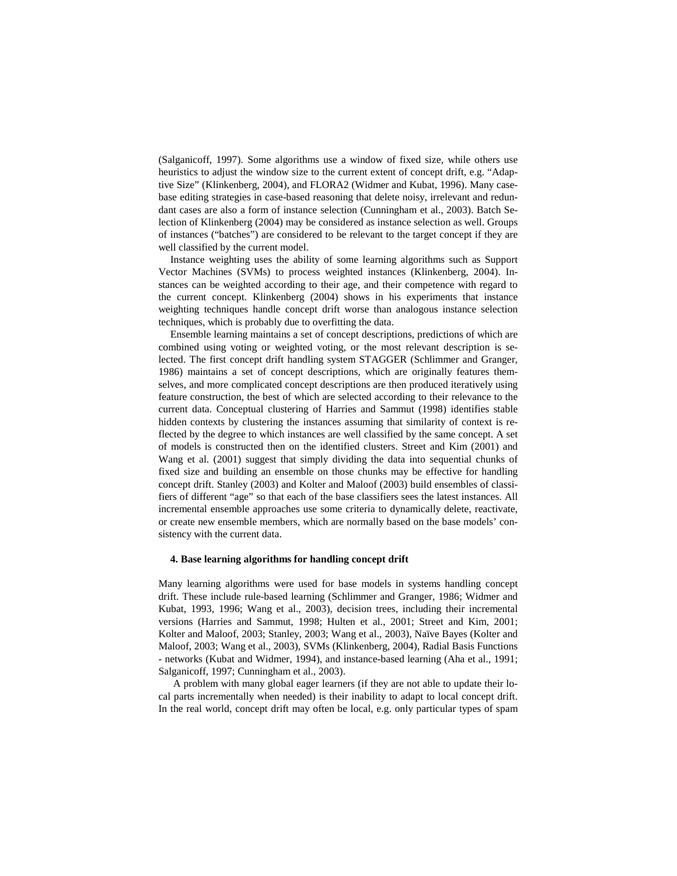(Salganicoff, 1997). Some algorithms use a window of fixed size, while others use heuristics to adjust the window size to the current extent of concept drift, e.g. "Adaptive Size" (Klinkenberg, 2004), and FLORA2 (Widmer and Kubat, 1996). Many casebase editing strategies in case-based reasoning that delete noisy, irrelevant and redundant cases are also a form of instance selection (Cunningham et al., 2003). Batch Selection of Klinkenberg (2004) may be considered as instance selection as well. Groups of instances ("batches") are considered to be relevant to the target concept if they are well classified by the current model.

Instance weighting uses the ability of some learning algorithms such as Support Vector Machines (SVMs) to process weighted instances (Klinkenberg, 2004). Instances can be weighted according to their age, and their competence with regard to the current concept. Klinkenberg (2004) shows in his experiments that instance weighting techniques handle concept drift worse than analogous instance selection techniques, which is probably due to overfitting the data.

Ensemble learning maintains a set of concept descriptions, predictions of which are combined using voting or weighted voting, or the most relevant description is selected. The first concept drift handling system STAGGER (Schlimmer and Granger, 1986) maintains a set of concept descriptions, which are originally features themselves, and more complicated concept descriptions are then produced iteratively using feature construction, the best of which are selected according to their relevance to the current data. Conceptual clustering of Harries and Sammut (1998) identifies stable hidden contexts by clustering the instances assuming that similarity of context is reflected by the degree to which instances are well classified by the same concept. A set of models is constructed then on the identified clusters. Street and Kim (2001) and Wang et al. (2001) suggest that simply dividing the data into sequential chunks of fixed size and building an ensemble on those chunks may be effective for handling concept drift. Stanley (2003) and Kolter and Maloof (2003) build ensembles of classifiers of different "age" so that each of the base classifiers sees the latest instances. All incremental ensemble approaches use some criteria to dynamically delete, reactivate, or create new ensemble members, which are normally based on the base models' consistency with the current data.

# **4. Base learning algorithms for handling concept drift**

Many learning algorithms were used for base models in systems handling concept drift. These include rule-based learning (Schlimmer and Granger, 1986; Widmer and Kubat, 1993, 1996; Wang et al., 2003), decision trees, including their incremental versions (Harries and Sammut, 1998; Hulten et al., 2001; Street and Kim, 2001; Kolter and Maloof, 2003; Stanley, 2003; Wang et al., 2003), Naïve Bayes (Kolter and Maloof, 2003; Wang et al., 2003), SVMs (Klinkenberg, 2004), Radial Basis Functions - networks (Kubat and Widmer, 1994), and instance-based learning (Aha et al., 1991; Salganicoff, 1997; Cunningham et al., 2003).

A problem with many global eager learners (if they are not able to update their local parts incrementally when needed) is their inability to adapt to local concept drift. In the real world, concept drift may often be local, e.g. only particular types of spam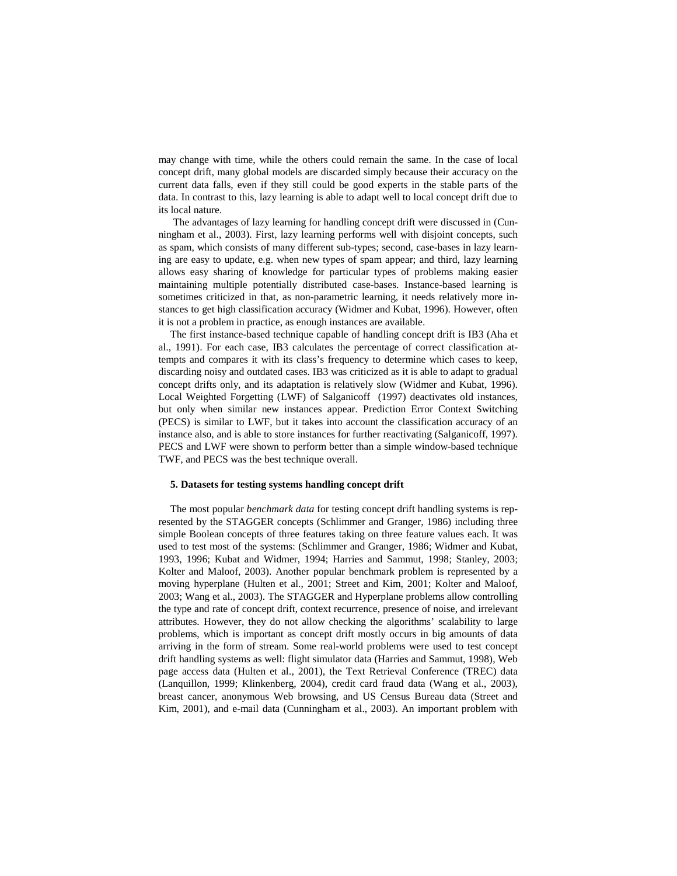may change with time, while the others could remain the same. In the case of local concept drift, many global models are discarded simply because their accuracy on the current data falls, even if they still could be good experts in the stable parts of the data. In contrast to this, lazy learning is able to adapt well to local concept drift due to its local nature.

The advantages of lazy learning for handling concept drift were discussed in (Cunningham et al., 2003). First, lazy learning performs well with disjoint concepts, such as spam, which consists of many different sub-types; second, case-bases in lazy learning are easy to update, e.g. when new types of spam appear; and third, lazy learning allows easy sharing of knowledge for particular types of problems making easier maintaining multiple potentially distributed case-bases. Instance-based learning is sometimes criticized in that, as non-parametric learning, it needs relatively more instances to get high classification accuracy (Widmer and Kubat, 1996). However, often it is not a problem in practice, as enough instances are available.

The first instance-based technique capable of handling concept drift is IB3 (Aha et al., 1991). For each case, IB3 calculates the percentage of correct classification attempts and compares it with its class's frequency to determine which cases to keep, discarding noisy and outdated cases. IB3 was criticized as it is able to adapt to gradual concept drifts only, and its adaptation is relatively slow (Widmer and Kubat, 1996). Local Weighted Forgetting (LWF) of Salganicoff (1997) deactivates old instances, but only when similar new instances appear. Prediction Error Context Switching (PECS) is similar to LWF, but it takes into account the classification accuracy of an instance also, and is able to store instances for further reactivating (Salganicoff, 1997). PECS and LWF were shown to perform better than a simple window-based technique TWF, and PECS was the best technique overall.

#### **5. Datasets for testing systems handling concept drift**

The most popular *benchmark data* for testing concept drift handling systems is represented by the STAGGER concepts (Schlimmer and Granger, 1986) including three simple Boolean concepts of three features taking on three feature values each. It was used to test most of the systems: (Schlimmer and Granger, 1986; Widmer and Kubat, 1993, 1996; Kubat and Widmer, 1994; Harries and Sammut, 1998; Stanley, 2003; Kolter and Maloof, 2003). Another popular benchmark problem is represented by a moving hyperplane (Hulten et al., 2001; Street and Kim, 2001; Kolter and Maloof, 2003; Wang et al., 2003). The STAGGER and Hyperplane problems allow controlling the type and rate of concept drift, context recurrence, presence of noise, and irrelevant attributes. However, they do not allow checking the algorithms' scalability to large problems, which is important as concept drift mostly occurs in big amounts of data arriving in the form of stream. Some real-world problems were used to test concept drift handling systems as well: flight simulator data (Harries and Sammut, 1998), Web page access data (Hulten et al., 2001), the Text Retrieval Conference (TREC) data (Lanquillon, 1999; Klinkenberg, 2004), credit card fraud data (Wang et al., 2003), breast cancer, anonymous Web browsing, and US Census Bureau data (Street and Kim, 2001), and e-mail data (Cunningham et al., 2003). An important problem with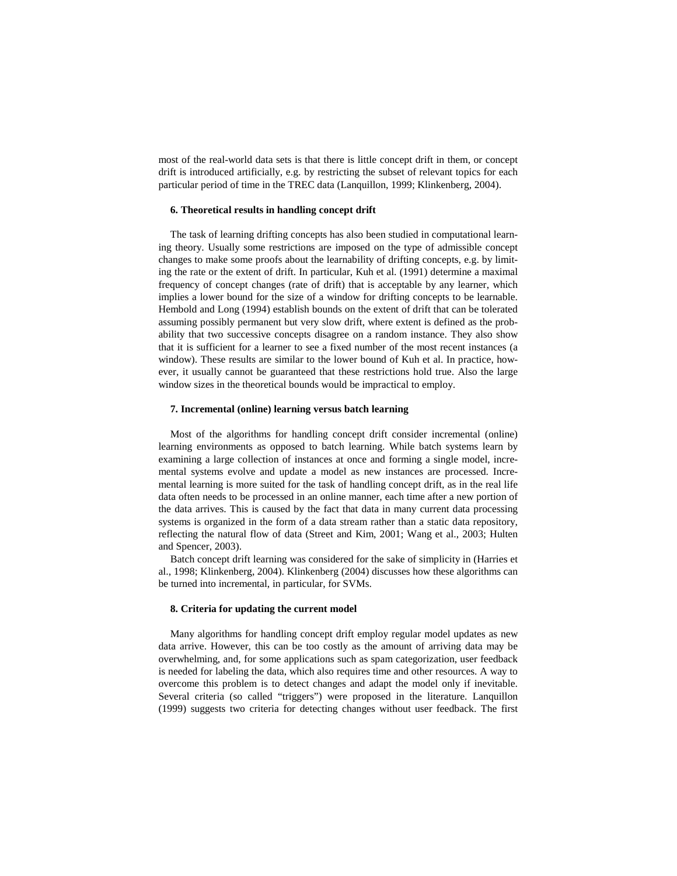most of the real-world data sets is that there is little concept drift in them, or concept drift is introduced artificially, e.g. by restricting the subset of relevant topics for each particular period of time in the TREC data (Lanquillon, 1999; Klinkenberg, 2004).

#### **6. Theoretical results in handling concept drift**

The task of learning drifting concepts has also been studied in computational learning theory. Usually some restrictions are imposed on the type of admissible concept changes to make some proofs about the learnability of drifting concepts, e.g. by limiting the rate or the extent of drift. In particular, Kuh et al. (1991) determine a maximal frequency of concept changes (rate of drift) that is acceptable by any learner, which implies a lower bound for the size of a window for drifting concepts to be learnable. Hembold and Long (1994) establish bounds on the extent of drift that can be tolerated assuming possibly permanent but very slow drift, where extent is defined as the probability that two successive concepts disagree on a random instance. They also show that it is sufficient for a learner to see a fixed number of the most recent instances (a window). These results are similar to the lower bound of Kuh et al. In practice, however, it usually cannot be guaranteed that these restrictions hold true. Also the large window sizes in the theoretical bounds would be impractical to employ.

## **7. Incremental (online) learning versus batch learning**

Most of the algorithms for handling concept drift consider incremental (online) learning environments as opposed to batch learning. While batch systems learn by examining a large collection of instances at once and forming a single model, incremental systems evolve and update a model as new instances are processed. Incremental learning is more suited for the task of handling concept drift, as in the real life data often needs to be processed in an online manner, each time after a new portion of the data arrives. This is caused by the fact that data in many current data processing systems is organized in the form of a data stream rather than a static data repository, reflecting the natural flow of data (Street and Kim, 2001; Wang et al., 2003; Hulten and Spencer, 2003).

Batch concept drift learning was considered for the sake of simplicity in (Harries et al., 1998; Klinkenberg, 2004). Klinkenberg (2004) discusses how these algorithms can be turned into incremental, in particular, for SVMs.

#### **8. Criteria for updating the current model**

Many algorithms for handling concept drift employ regular model updates as new data arrive. However, this can be too costly as the amount of arriving data may be overwhelming, and, for some applications such as spam categorization, user feedback is needed for labeling the data, which also requires time and other resources. A way to overcome this problem is to detect changes and adapt the model only if inevitable. Several criteria (so called "triggers") were proposed in the literature. Lanquillon (1999) suggests two criteria for detecting changes without user feedback. The first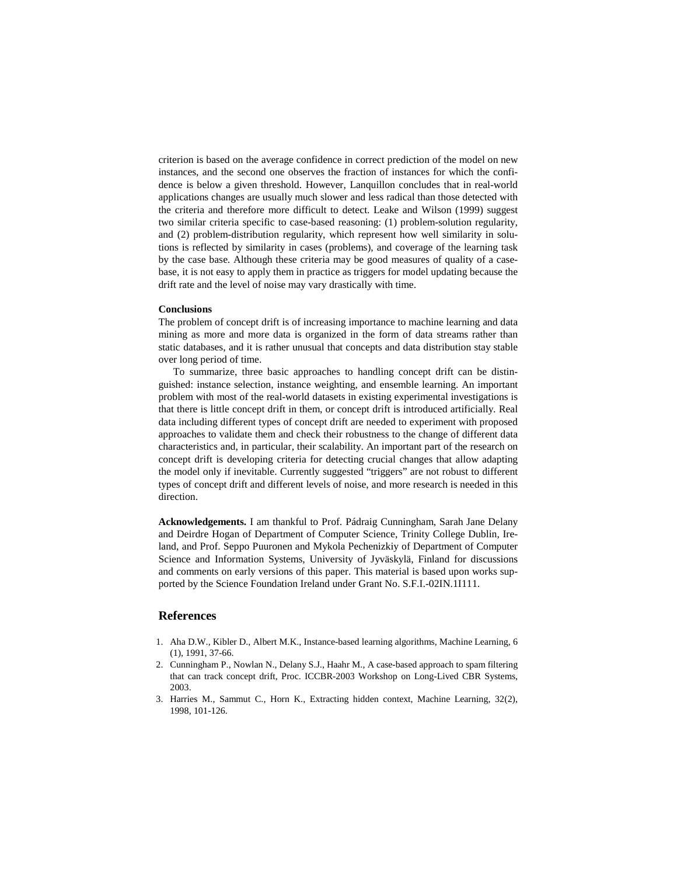criterion is based on the average confidence in correct prediction of the model on new instances, and the second one observes the fraction of instances for which the confidence is below a given threshold. However, Lanquillon concludes that in real-world applications changes are usually much slower and less radical than those detected with the criteria and therefore more difficult to detect. Leake and Wilson (1999) suggest two similar criteria specific to case-based reasoning: (1) problem-solution regularity, and (2) problem-distribution regularity, which represent how well similarity in solutions is reflected by similarity in cases (problems), and coverage of the learning task by the case base. Although these criteria may be good measures of quality of a casebase, it is not easy to apply them in practice as triggers for model updating because the drift rate and the level of noise may vary drastically with time.

## **Conclusions**

The problem of concept drift is of increasing importance to machine learning and data mining as more and more data is organized in the form of data streams rather than static databases, and it is rather unusual that concepts and data distribution stay stable over long period of time.

To summarize, three basic approaches to handling concept drift can be distinguished: instance selection, instance weighting, and ensemble learning. An important problem with most of the real-world datasets in existing experimental investigations is that there is little concept drift in them, or concept drift is introduced artificially. Real data including different types of concept drift are needed to experiment with proposed approaches to validate them and check their robustness to the change of different data characteristics and, in particular, their scalability. An important part of the research on concept drift is developing criteria for detecting crucial changes that allow adapting the model only if inevitable. Currently suggested "triggers" are not robust to different types of concept drift and different levels of noise, and more research is needed in this direction.

**Acknowledgements.** I am thankful to Prof. Pádraig Cunningham, Sarah Jane Delany and Deirdre Hogan of Department of Computer Science, Trinity College Dublin, Ireland, and Prof. Seppo Puuronen and Mykola Pechenizkiy of Department of Computer Science and Information Systems, University of Jyväskylä, Finland for discussions and comments on early versions of this paper. This material is based upon works supported by the Science Foundation Ireland under Grant No. S.F.I.-02IN.1I111.

# **References**

- 1. Aha D.W., Kibler D., Albert M.K., Instance-based learning algorithms, Machine Learning, 6 (1), 1991, 37-66.
- 2. Cunningham P., Nowlan N., Delany S.J., Haahr M., A case-based approach to spam filtering that can track concept drift, Proc. ICCBR-2003 Workshop on Long-Lived CBR Systems, 2003.
- 3. Harries M., Sammut C., Horn K., Extracting hidden context, Machine Learning, 32(2), 1998, 101-126.